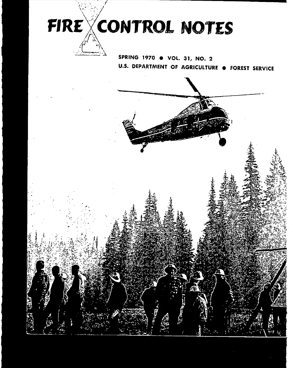

SPRING 1970 · VOL. 31, NO. 2 U.S. DEPARTMENT OF AGRICULTURE . FOREST SERVICE

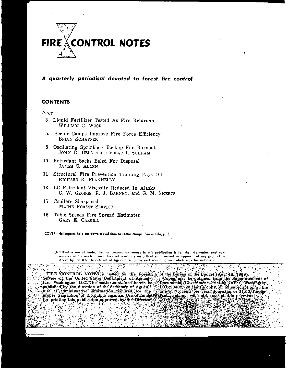

### **A** *quarterly periodical devoted* **to forest fire control**

### **CONTENTS**

#### *Poge*

- 3 Liquid Fertilizer Tested As Fire Retardant WILLIAM C. WOOD
- 5. Sector Camps Improve Fire Force Efficiency BRIAN SCHAFFER
- 8 Oscillating Sprinklers Backup For Burnout JOHN D. DELL and GEORGE I. SCHRAM
- 10 Retardant Sacks Baled For Disposal JAMES C. ALLEN
- 11 Structural Fire Prevention Training Pays Off RICHARD R. FLANNELLY
- 13 LC Retardant Viscosity Reduced In Alaska C. W. GEORGE, R. J. BARNEY, and G. M. SHEETS
- 15 Coulters Sharpened MAINE FOREST SERVICE

S  $\ddot{\mathbf{r}}$  $\mathbf{r}_\mathrm{c}$ 

۳.

16 Table Speeds Fire Spread Estimates GARY E. CARGILL

**COVER-Helicopters help** cut **down travel time to sector camps. S•• article, p. S.**

**(NOTE-The** use **of trode, firm, or corporation nomes in this publication is for the information and** ccn. venleece **of the reader. Such does not constitute on officiol endorsement or approval of any product or service by the U.S. Deportment of Agriculture to the exclusion of others which may be suitabl•.)**

FIRE CONTROL NOTES is issued by the Forest, of the Bureau of the Budget (Aug: 19, 1969). Service of the United States Department of Agricul? Copies may be obtained from the Superintendent of for printing this publication approved by the Director.  $\mathcal{P}(\mathcal{E})$ ایل پایانی آباد<br>تاریخ τ, ा म **All all UNITS** 

."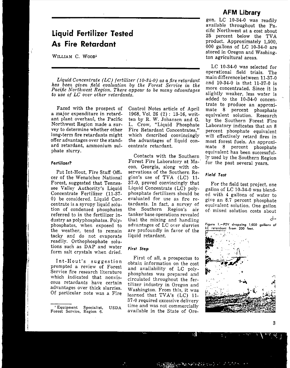### **AFM Library**

# **Liquid Fertilizer Tested As Fire Retardant**

WILLIAM C. WOOD<sup>1</sup>

*Liquid Concentrate (LC) fertilize,' (10-34-0) as a fire retardant has been given field evaluation by the Forest Service in the Pacific* Northwest Region. There appear to be many advantages *to use of LC Ot'e,· other* retardants,

Faced with the prospect of a major expenditure in retardant plant overhaul, the Pacific Northwest Region made a survey to determine whether other long-term fire retardants might offer advantages over the standard retardant, ammonium sulphate slurry.

#### *Fertilizer?*

Pat Int-Hout, Fire Staff Officer of the Wenatchee National Forest, suggested that Tennessee Valley Authority's Liquid Concentrate Fertilizer (11-37- 0) be considered. Liquid Concentrate is a syrupy liquid solution of condensed phosphates referred to in the fertilizer industry as polyphosphates. Polyphosphates, when exposed to the weather, tend to remain tacky and do not evaporate readily. Orthophosphate solutions such as DAP and water form salt crystals when dried.

Int-Hout's suggestion prompted a review of Forest Service fire research literature which indicated that nonviscous retardants have certain advantages over thick slurries. Of particular note was a Fire

**<sup>I</sup> Equipment Specialist, USDA Forest Service, Region 6.**

Control Notes article of April 1968, Vol. 26 (2): 13-16, written by R. W. Johansen and G. L. Crow, "Liquid Phosphate Fire Retardant Concentrates," which described convincingly the advantages of liquid concentrate retardant.

Contacts with the Southern Forest Fire Laboratory at Ma-. con, Georgia, along with observations of the Southern Region's use of TVA (LC) 11- 37-0, proved convincingly that Liquid Concentrate (LC) polyphosphate fertilizers should be evaluated for use as fire retardants. In fact, a survey of the Southern Region's air tanker base operations revealed that the mixing and handling advantages of LC over slurries are profoundly in favor of the liquid retardant.

#### *First Step*

First of all, a prospectus to obtain information on the cost and availability of LC polyphosphates was prepared and circulated throughout the fertilizer industry in Oregon and Washington. From this, it was learned that TVA's (LC) 11- 37-0 required excessive delivery time and was not commercially available in the State of Ore-

Ч

gon, LC 10-34-0 was readily available throughout the Pacific Northwest at a cost about 25 percent below the TVA product. Approximately 1,500, 000 gallons of LC 10-34-0 are stored in Oregon and Washington agricultural areas.

LC 10-34-0 was selected for operational field trials. The main difference between 11-37-0 and 10-34-0 is that 11-37-0 is more concentrated. Since it is slightly weaker, less water is added to the 10-34-0 concentrate to produce an approximate 8 percent phosphate equivalent solution. Research by the Southern Forest Fire Laboratory indicates that an 8 percent phosphate equivalent will effectively retard fires in most forest fuels. An approximate 8 percent phosphate equivalent has been successfully used by the Southern Region for the past several years.

### *Field Test*

For the field test project, one gallon of LC 10-34-0 was blended with 4 gallons of water to give an 8.7 percent phosphate equivalent solution. One gallon of· mixed solution costs about



3

**LC retardant from 200 feet.**

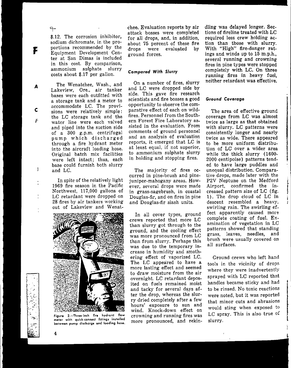### $\div$

F

A

c

F

 $\mathbf{1}$ 

\$.12. The corrosion inhibitor, sodium dichromate, in the proportions recommended by the Equipment Development Center at San Dimas is included in this cost. By comparison, ammonium sulphate slurry costs about \$.17 per gallon.

The Wenatchee, Wash., and Lakeview, Ore., air tanker bases were each outfitted with a storage tank and a meter to accommodate LC. The provisions were relatively simple: the LC storage tank and the water line were each valved and piped into the suction side of a 300 g.p.m. centrifugal pump which discharged through a fire hydrant meter into the aircraft loading hose. Original batch mix facilities were left intact; thus, each base could furnish both slurry and LC.

In spite of the relatively light 1969 fire season in the Pacific Northwest, 117,000 gallons of LC retardant were dropped on 28 fires by air tankers working out of Lakeview and Wenat-



Figure 2 .- Three-inch fire hydrant flow meter with quick-connect fittings installed between pump discharge and loading hose.

chee. Evaluation reports by air attack bosses were completed for all drops, and, in addition, about 75 percent of these fire drops were evaluated by ground forces. .

### **Compared** *With Slurry*

On a number of fires, slurry and LC were dropped side by side. This gave fire research scientists and fire bosses a good opportunity to observe the comparative effect of each on wildfires. Personnel from the Southern Forest Fire Laboratory assisted in the evaluation. From comments of ground personnel and an analysis of evaluation reports, it emerged that LC is at least equal, if not superior, to ammonium sulphate slurry in holding and stopping fires.

The majority of fires occurred in pine-brush and pinejuniper-mahogany areas. However, several drops were made in grass-sagebrush, in coastal Douglas-fir, and on fires in pine and Douglas-fir slash units.

In all cover types, ground crews reported that more LC than slurry got through to the ground, and the cooling effect was more pronounced from LC than from slurry. Perhaps this was due to the temporary increase in humidity and smothering effect of vaporized LC. The LC appeared to have a more lasting effect and seemed to draw moisture from the air overnight. LC retardant deposited on fuels remained moist and tacky for several days after the drop, whereas the slurry dried completely after a few hours' exposure to sun and wind. Knock-down effect on crowning and running fires was more pronounced, and rekin-

dling was delayed longer. Sections of fireline treated with LC required less crew holding action than those with slurry. With "High" fire-danger ratings and winds up to 15 m.p.h., several running and crowning fires in pine types were stopped completely with LC. On three running fires in heavy fuel, neither retardant was effective.

#### **Ground Coverage**

The area of effective ground coverage from LC was almost twice as large as that obtained with slurry. LC patterns were consistently longer and nearly twice as wide. There appeared to be more uniform distribution of LC over a wider area while the thick slurry (1600- 2000 centipoise) patterns tended to have large puddles and unequal distribution. Comparative drops, made later with the P2V Neptune on the Medford Airport, confirmed the increased pattern size of LC (fig. 1). The drop cloud of LC in descent resembled a heavy, swirling rain. The swirling effect apparently caused more complete coating of fuel. Examination of vegetation in LC patterns showed that standing grass, leaves, needles, and brush were usually covered on all surfaces.

I I

f

f<br>f

Ground crews who left hand tools in the vicinity of drops where they were inadvertently sprayed with LC reported that handles became sticky and had to be rinsed. No toxic reactions were noted, but it was reported that minor cuts and abrasions would sting when exposed to LC spray. This is also true of slurry.

',~-"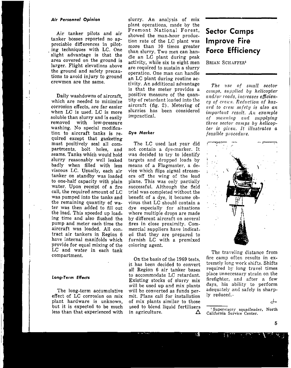#### *Ai, Personnel Opinion*

Air tanker pilots and air tanker bosses reported no appreciable differences in piloting techniques with LC. One slight advantage is that the area covered on the ground is larger. Flight elevations above the ground and safety precautions to avoid injury to ground crewmen are the same.

Daily washdowns of aircraft, which are needed to minimize corrosion effects, are far easier when LC is used. LC is more soluble than slurry and is easily removed with low-pressure washing. No special modification to aircraft tanks is required except that gasketing must positively seal all compartments, bolt holes, and seams. Tanks which would hold slurry reasonably well leaked badly when filled with less viscous LC. Usually, each air tanker on standby was loaded to one-half capacity with plain water. Upon receipt of a fire call, the required amount of LC was pumped into the tanks and the remaining quantity of water was then added to fill out the load. This speeded up loading time and also flushed the pump and meter each time the aircraft was loaded. All contract air tankers in Region 6 have internal manifolds which provide for equal mixing of the LC and water in each tank compartment.

#### Long-Term *ERed,*

The long-term accumulative effect of LC corrosion on mix plant hardware is unknown, but it is expected to be much less than that experienced with

slurry. An analysis of mix plant operations, made by the Fremont National Forest, showed the man-hour production rate of the LC plant was more than 10 times greater than slurry. Two men can handle an LC plant during peak activity, while six to eight men are required to sustain a slurry operation. One man can handle an LC plant during routine activity. An additional advantage is that the meter provides a positive measure of the quantity of retardant loaded into the aircraft (fig. 2). Metering of slurries has been considered impractical.

#### Dye Marker

The LC used last year did not contain a dye-marker. It was decided to try to identify targets and dropped loads by means of a Flagmaster, a device which flips signal streamers off the wing of the lead plane. This was only partially successful. Although the field trial was completed without the benefit of a dye, it became obvious that LC should contain a dye especially for situations where multiple drops are made by different aircraft on several fires in close proximity. Commercial suppliers have indicated that they are prepared to furnish LC with a premixed coloring agent.

On the basis of the 1969 tests, it has been decided to convert all Region 6 air tanker bases to accommodate LC retardant. Existing stocks of slurry mix will be used up and mix plants will be converted as funds permit. Plans call for installation of mix plants similar to those used to blend liquid fertilizers in agriculture.  $\Delta$ 

R)

# **Sector Camps Improve Fire Force Efficiency**

BRIAN SCHAFFER'

*The use of small sector camps, supplied by helicopter and/or roads, increases efficiency of creu's, Reduction of hazard. to cI'e/u salety is also an* imporiont *result, .4n example of mallning and supplying three sector camps by helicopier is gi/'81L* It *illustrates a feasible procedure.*



The traveling distance from fire camp often results in extremely long *work* shifts. Shifts required by long travel times place unnecessary strain on the firefighter, and after a few days, his ability to perform adequately and safely is sharply reduced..

**<sup>I</sup> Supervisory squadleader, North California Service Center.**

d-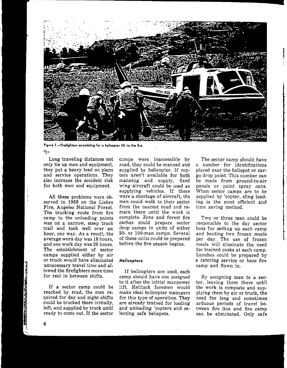

**figure l.-Firefighters scrambling for a h.licopter lift to the fire.**

9-

Long traveling distances not only tie up men and equipment, they put a heavy load on plans and service operations. They also increase the accident risk for both men and equipment.

All these problems were observed in 1968 on the Liebre Fire, Angeles National Forest. The trucking route from fire camp to the unloading points was on a narrow, steep truck trail and took well over an hour, one way. As a result, the average work day was 18 hours, and one work day was 20 hours. The establishment of sector camps supplied either by air or truck would have eliminated unnecessary travel time and allowed the firefighters more time for rest in between shifts.

If a sector camp could be reached by road, the men required for day and night shifts could be trucked there initially, left, and supplied by truck until ready to come out. If the sector camps were inaccessible by road, they could be manned and supplied by helicopter. If copters aren't available for both manning and supply, fixed wing aircraft could be used as supplying vehicles. If there were a shortage of aircraft, the men could walk to their sector from the nearest road and remain there until the work is complete. Zone and forest fire caches could prepare sector drop camps in units of either 50- or 100-man camps. Several of these units could be prepared before the fire season begins.

#### *Helicopters*

If helicopters are used, each camp should have one assigned to it after the initial manpower lift. Helitack foremen would make ideal helicopter managers for this type of operation. They are already trained for loading and unloading 'copters and selecting safe helispots.

The sector camp should have a number for identifications placed near the helispot or cargo drop point. This number can be made from ground-to-air panels or paint spray cans. When sector camps are to be supplied by 'copter, sling loading is the most efficient and time saving method.

**2**

Two or three men could be responsible to the day sector boss for setting up each camp and heating two frozen meals per day. The use of frozen meals will eliminate the need for trained cooks at each camp. Lunches could be prepared by a catering service or base fire camp and flown in.

By assigning men to a sector, leaving them there until the work is complete and supplying them by air or truck, the' need for long and sometimes arduous periods of travel between fire line and fire camp can be eliminated. Only safe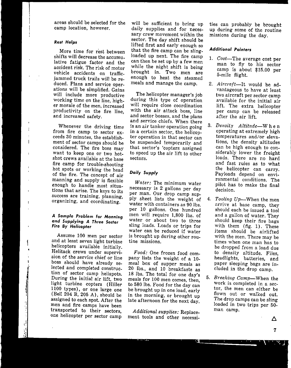areas should be selected for the camp location, however.

#### **Rest** *Helps*

More time for rest between shifts will decrease the accumu, lative fatigue factor and the accident risk. The risk of motor vehicle accidents on trafficjammed truck trails will be reduced. Plans and service operations will be simplified. Gains will include more productive working time on the line, higher morale of the men, increased productivity on the fire line, and increased safety.

Whenever the driving time from fire camp to sector exceeds 30 minutes, the establishment of sector camps should be considered. The fire boss may want to keep one or two hotshot crews available at the base fire camp for trouble-shooting hot spots or working the head of the fire. The concept of air manning and supply is flexible enough to handle most situations that arise. The keys to its **success are training, planning,** organizing, and coordinating.

#### *A Sample Problem lor Manning and Supplying A Three* **Sector** *Fire By Helicopter*

i

 $\frac{1}{2}$ 

**Chicago** 

Assume 100 men per sector and at least seven light turbine helicopters available initially. Helitack crews under supervision of the service chief or line boss should have already selected and completed construe, tion of sector camp helispots. During the initial air lift, two light turbine copters (Hiller 1100 types), or One large one (Bell 204 B, 205 A), should be assigned to each spot. After the men and fire camps have been transported to their sectors one helicopter per sector camp

will be sufficient to bring up daily supplies and for necessary crew movement within the sector. The day shift should be lifted first and early enough so that the fire camp can be slingloaded up next. The fire camp can then be set up by a few men while the night shift is being brought in. Two men are enough to heat the steamed meals and manage the camp.

The helicopter manager's job during this type of operation will require close coordination with the air attack boss, line and sector bosses, and the plans and service chiefs. When there is an air tanker operation going in a certain sector, the helicopter operation in that sector can be suspended temporarily and that sector's 'copters assigned to speed up the air lift to other sectors.

### *Doily Supply*

*Water:* The minimum water necessary is 2 gallons per day per man. Our drop camp supply sheet lists the weight of water with containers as 90 Ibs. per 10 gallons. One hundred men will require 1,800 lbs. of water or about two to three sling loads. Loads or trips for water can be reduced if water is brought up during other routine missions.

*Food:* One frozen food company lists the weight of a 10 meal box of supper meals as 20 lbs., and 10 breakfasts as 18 Ibs. The total for one day's meals for 100 men comes, then, to 580 Ibs. Food for the day can be brought up in one load, early in the morning, or brought up late afternoon for the next day.

*Additional supplies:* Replacement tools and other necessi-

H

ties can probably be brought up during some of the routine missions during the day.

#### *Additional Pointers*

- 1. *Cost-The* average cost per man to fly to his sector camp is about \$15.00 per 5-mile flight.
- 2. *Aircraft*-It would be advantageous to have at least two aircraft per sector camp available for the initial air lift. The extra helicopter per camp can be released after the air lift.
- *3. Density Altitude-W* hen operating at extremely high temperatures and/or elevations, the density altitudes can be high enough to considerably lower the freight loads. There are no hard and fast rules as to what the helicopter can carry. Payloads depend on environmental conditions. The pilot has to make the final decision.
- *4. Tooling UP-When* the men arrive at base camp, they should each be issued a tool and a gallon of water. They should keep their fire bags with them (fig. 1). These items should be airlifted with the men. There may be times when one man has to be dropped from a load due to density altitude. Files, headlights, batteries, and paper sleeping bags are included in the drop camp.
- *5. Breakinq Camp-When* the work is completed in a sector, the men can either be flown out or walked out. The drop camps can be sling loaded in two trips per 50 man camp.

7

Δ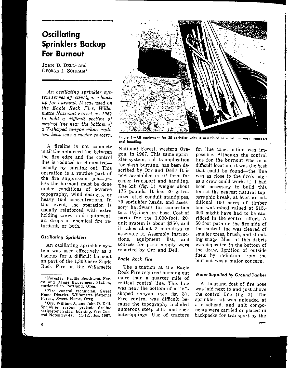# **Oscillating Sprinklers Backup For Burnout**

JOHN D. DELL' and GEORGE 1. SCHRAM'

*An oscillating sprinkler system serves effectively as a backup lor burnout. It was used on*  $the$  *Eagle Rock Fire, Willamette National Forest, in 1967 to hold a difficult section 01 control line near the bottom a*I *a V-shaped canyon where radiant heat was a major concern.*

A fireline is not complete until the unburned fuel between the fire edge and the control line is reduced or eliminatedusually by burning out. This operation is a routine part of the fire suppression  $job$ -unless the burnout must be done under conditions of adverse topography, wind changes, or heavy fuel concentrations. In. this event, the operation is usually reinforced with extra holding crews and equipment, air drops of chemical fire retardant, or both.

#### *Oscillating Sprinklers*

An oscillating sprinkler system was used effectively as a backup for a difficult burnout on part of the 1,300-acre Eagle Rock Fire on the Willamette



**Figure 1.-AII equipment for 20 sprinkler units is assembled in a kit for easy transport and handling.**

National Forest, western Oregon, in 1967. This same sprinkler system, and its application for slash burning, has been described by Orr and Dell? It is now assembled in kit form for easier transport and handling. The kit (fig. 1) weighs about 175 pounds. It has 20 galvanized steel conduit standpipes, 20 sprinkler heads, and accessory hardware for connection to a  $1\frac{1}{2}$ -inch fire hose. Cost of parts for the 1,000-foot, 20 unit system is about \$350, and it takes about 2 man-days to assemble it. Assembly instructions, equipment list, and sources for parts supply were reported by Orr and Dell.

#### *Eagle Rock Fire*

The situation at the Eagle Rock Fire required burning out more than a quarter mile of critical control line. This line was near the bottom of a "V" shaped canyon (see fig. 3). Fire control was difficult because the topography included numerous steep cliffs and rock outcroppings. Use of tractors

for line construction was impossible. Although the control line for the burnout was in a difficult location, it was the best that could be found—the line was as close to the fire's edge as a crew could work. If it had been necessary to build this line at the nearest natural topographic break, at least an additional 100 acres of timber and watershed valued at \$15,- 000 might have had to be sacrificed in the control effort. A 50-foot path on the fire side of the control line was cleared of smaller trees, brush, and standing snags. Most of this debris was deposited in the bottom of the draw. Ignition of outside fuels by radiation from the burnout was a major concern.

**2**

#### *Wate, Supplied by Ground Tanker*

A thousand feet of fire hose was laid next to and just above the control line (fig. 2). The sprinkler kit was unloaded at a roadhead, and unit components were carried or placed in backpacks for transport by the d-

**<sup>I</sup> Forester, Pacific Southwest For. est and Range Experiment Station, stationed in Portland, Oreg.**

**<sup>=</sup>Fire control technician, Sweet Home District, Willamette National Forest, Sweet Home, Oreg.**

**<sup>&</sup>quot;Orr, William J., and John D. Dell. Sprinkler system protects fireline perimeter in slash burning. Fire Con**trol Notes 28 (4): 11-12. illus. 1967.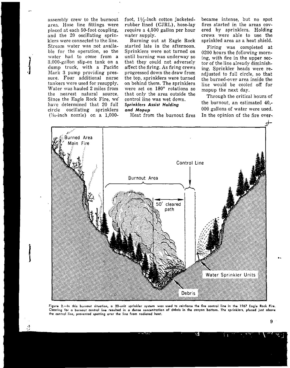assembly crew to the burnout area. Hose line fittings were placed at each 50-foot coupling, and the 20 oscillating sprinklers were connected to the line. Stream water was not available for the operation, so the water had to come from a 3,000-gallon slip-on tank on a dump truck, with a Pacific Mark 3 pump providing pressure. Four additional nurse tankers were used for resupply. Water was hauled 2 miles from the nearest natural source. Since the Eagle Rock Fire, we' have determined that 20 full circle oscillating sprinklers  $(75z$ -inch nozzle) on a 1,000-

 $\int$ 

foot,  $1\frac{1}{2}$ -inch cotton jacketedrubber lined (CJRL), hose-lay require a 4,500 gallon per hour water supply.

Burning out at Eagle Rock started late in the afternoon. Sprinklers were not turned on until burning was underway so that they could not adversely affect the firing. As firing crews progressed down the draw from the top, sprinklers were turned on behind them. The sprinklers were set on  $180^\circ$  rotations so that only the area outside the control line was wet down. *Sprinklers Assis' Holding and Mopup*

Heat from the burnout fires

became in tense, but no spot fires started in the areas covered by sprinklers. Holding crews were able to use the sprinkled area as a heat shield.

Firing was completed at 0200 hours the following morning, with fire in the upper sector of the line already diminishing. Sprinkler heads were readjusted to full circle, so that the burned-over area inside the line would be cooled off for mopup the next day.

Through the critical hours of the burnout, an estimated 40,- 000 gallons of water were used. In the opinion of the fire over.



Figure 2.-In this burnout situation, a 20-unit sprinkler system was used to reinfarce the fire control line in the 1967 Eagle Rock Fire. **Clearing for a burnout control lin. resulted in a dense concentrotion of debris in the canyon bottom. The sprinklers, placed just above Ihe control line, prevented spotting over the line from radiated heat.**

9

**..**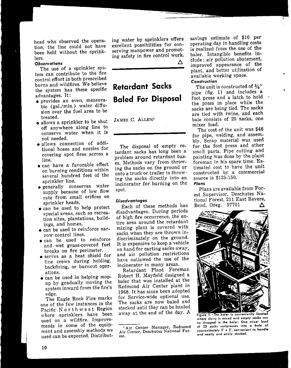head who observed the operation. the line could not have been held without the sprinklers.

#### **Observations**

The use of a sprinkler system can contribute to the fire control effort in both prescribed burns and wildfires. We believe the system has these specific advantages. It:

- **provides an even, measura**ble (gal./min.) water diffusion over the fuel area to be treated.
- o allows a sprinkler to be shut off anywhere along line to conserve water when it is not needed.
- allows connection of additional hoses and nozzles for covering spot fires across a line.
- can have a favorable effect on burning conditions within several hundred feet of the sprinkler line.
- generally conserves water supply because of low flow rate from small orifices on sprinkler heads.
- can be used to help protect **special areas, such as recrea**tion sites. plantations. buildings. and homes.
- can be used to reinforce narrow control lines.
- can be used to reinforce and wet grass-covered fuel breaks on fire perimeter.
- serves as a heat shield for line crews during holding. backfiring. or burnout operations.
- can be used in helping mopup by gradually moving the system inward from the fire's edge.

The Eagle Rock Fire marks one of the few instances in the Pacific Nor t h w est Region where sprinklers have been used on a wildfire. Improvements in some of the equipment and assembly methods we used can be expected. Distribut-

ing water by sprinklers offers excellent possibilities for conserving manpower and promoting safety in fire control work.

 $\Lambda$ 

# **Retardant Sacks Baled For Disposal**

JAMES C. ALLEN'

The disposal of empty retardant sacks has long been a problem around retardant bases. Methods vary from throwing the sacks on the ground or onto a truck or trailer to throwing the sacks directly into an incinerator for burning on the spot.

disadvantages. During periods of high fire occurrence. the entire area around the retardant mixing plant is covered with sacks when they are thrown indiscriminately on the ground. It is expensive to keep a vehicle on hand for carting sacks away. and air pollution restrictions have outlawed the use of the **incinerator in many areas.**

Retardant Plant Foreman Robert H. Mayfield designed a baler that was installed at the Redmond Air Center plant in 1968. It has since been adopted for Service-wide optional use. The sacks are now baled and stacked until they can be hauled away at the end of the day. A

savings estimate of \$10 per operating day in handling costs is realized from the use of the baler. Intangible benefits include: air pollution abatement, improved appearance of the plant. and better utilization of available working space. **Construction**

The unit is constructed of  $3\rlap{.}4\rlap{.}^{\prime\prime}$ pipe (fig. 1) and includes a foot press and a latch to hold the press in place while the sacks are being tied. The sacks are tied with twine. and each bale consists of 25 sacks. one mixer load.

The cost of the unit was \$46 for pipe, welding, and assembly. Scrap material was' used for the foot press and other small parts. Pipe cutting and painting was done by the plant foreman in his spare time. Estimated cost to have the unit constructed by a commercial source is \$125-150.

**Plans**

Plans are available from Forest Supervisor, Deschutes National Forest, 211 East Revere,<br>Bend, Oreg. 97701  $\Delta$ Disadvantages tional Forest, 211 East Revere<br>Each of these methods has Bend, Oreg. 97701



**where slurry is mixed and empty sacks con be dropped in the baler. One mixer load of** *2S* **socks comprones into <sup>0</sup> bale of approximately 2' It 3', convenient to handle and neatly and ecuily stacked.**

**<sup>I</sup> Air Center Manager, Redmond Air Center, Deschutes National Forest.**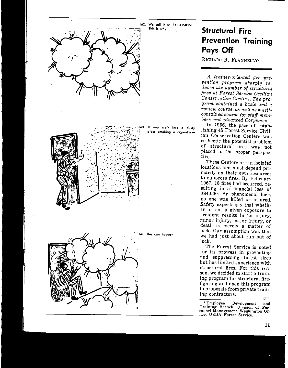

# **Structural Fire Prevention Training Pays Off**

RICHARD R. FLANNELLyl

*A trainee-oriented fire pre* $v$ *ention program sharply reduced the number of structural fires at Forest Service Civilian Conservation Centers. The program contained a basic and a review cow'se, as well as a selfcontained course for staff members and advanced Corpsmen.* 

In 1966, the pace of establishing 45 Forest Service Civilian Conservation Centers was so hectic the potential problem of structural fires was not placed in the proper perspective.

These Centers are in isolated locations and must depend primarily on their own resources to suppress fires. By February 1967, 18 fires had occurred, resulting in a' financial loss of \$84,000. By phenomenal luck, no one was killed or injured. Safety experts say that whether or not a given exposure to accident results in no injury, minor injury, major injury, or death is merely a matter of luck. Our assumption was that we had just about run out of luck.

The Forest Service is noted for its prowess in preventing and suppressing forest fires but has limited experience with structural fires. For this reason, we decided to start a training program for structural firefighting and open this program to proposals from private training contractors.

<sup>1</sup> **Employee Development and** 'I'rairring **Branch, Division of Per-sonnel Management, Washington Office, USDA Forest Service.**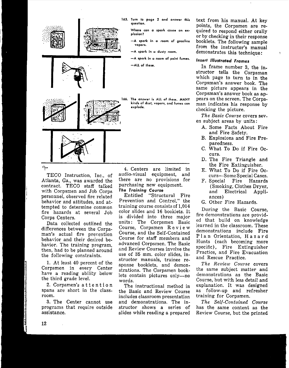

- **165. Turn to page 2 and answer this question.**
	- **Where can a spark cause an explosion?**
	- **-A spark in a room of gasoline vapors.**
	- **-A spark in a dusty room.**
	- **-A spark in <sup>a</sup> room of paint fumes.**

**-All of those.**

**166. The answer is ALL of these. MANY kinds of dust, vopors, and fumes can explode.**

TECO Instruction, Inc., of Atlanta, Ga., was awarded the contract. TECO staff talked with Corpsmen and Job Corps personnel, observed fire related behavior and attitudes, and attempted to determine common fire hazards at several Job Corps Centers.

Data collected outlined the differences between the Corpsman's actual fire prevention behavior and their desired behavior, The training program, then, had to be planned around the following constraints.

1. At least 40 percent of the Corpsmen in every Center have a reading ability below the third grade level.

2. Corpsmen's attention spans are short in the classroom.

3. The Center cannot use programs that require outside assistance.

4. Centers are limited in audio-visual equipment, and there are no provisions for purchasing new equipment. *The Training* **Course**

Entitled "Structural Fire Prevention and Control," the training course consists of 1,014 color slides and 16 booklets. It is divided into three major units: The Corpsmen Basic Course, Corpsmen Rev i e w Course, and the Self-Contained Course for staff members and advanced Corpsmen. The Basic and Review Courses involve the use of 35 mm. color slides, instructor manuals, trainee response booklets, and demonstrations. The Corpsmen booklets contain pictures only-no words.

The instructional method in the Basic and Review Course includes classroom presentation and demonstrations. The instructor shows a series of slides while reading a prepared

text from his manual. At key points, the Corpsmen are required to respond either orally or by checking in their response booklets. The following sample from the instructor's manual demonstrates this technique:

### *Insert Illustrated Frames*

In frame number 3, the instructor tells the Corpsman which page to turn to in the Corpsman's answer book. The same picture appears in the Corpsman's answer book as appears on the screen. The Corpsman indicates his response by checking the picture.

*The Basic Course* covers seven subject areas by units:

- A. Some Facts About Fire and Fire Safety.
- B. Explosions and Fire Preparedness.
- C. What To Do if Fire Oc**curs.**
- D. The Fire Triangle and the Fire Extinguisher.
- E. What To Do if Fire Occurs-Some Special Cases.
- F. Special Fire Hazards (Smoking, Clothes Dryer, and Electrical Appliances)
- G. Other Fire Hazards.

During the Basic Course, fire demonstrations are provided that build on knowledge learned in the classroom. These demonstrations include Fire Plan Orientation, Hazard Hunts (each becoming more specific), Fire Extinguisher Practice, and Fire Evacuation and Rescue Practice.

*The Review Course* covers the same subject matter and demonstrations as the Basic Course, but with less detail and explanation. It was designed as follow-up and refresher training for Corpsmen.

*The Self-Contained Course* has the same content as the Review Course, but the printed

 $\div$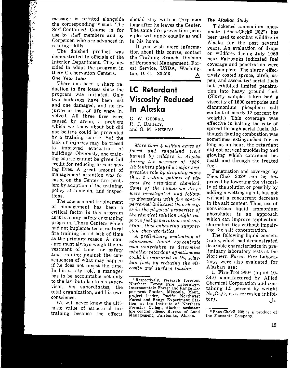message is printed alongside the corresponding ·visual. The Self-Contained Course is for use by staff members and by Corpsmen who are advanced in reading skills.

The finished product was demonstrated to officials of the Interior Department. They decided to adopt the program in their Conservation Centers.

### **One** *Year Later*

There has been a sharp reduction in fire losses since the program was initiated. Only two buildings have been lost and one damaged, and no injuries or loss of life were involved. All three fires were caused by arson, a problem which we knew about but did not believe could be prevented by a training course. But the lack of injuries may be traced to improved evacuation of buildings. Obviously, one training course cannot be given full credit for reducing fires or saving lives. A great amount of management attention was focused on the Center fire problem by adoption of the training, policy statements, and inspections.

The concern and involvement of management has been a critical factor in this program as it is in any safety or training program. Those Centers which had not implemented structural fire training listed lack of time as the primary reason. A manager must always weigh the investment of time for safety and training against the consequences of what may happen if he does not invest the time. In his safety role, a manager has to be accountable not only to the la w but also to his supervisor, his subordinates, the total organization, and his own **conscience.**

We will never know the ultimate value of structural fire training because the effects

should stay with a Corpsman long after he leaves the Center. The same fire prevention principles will apply equally as well in his home.

If you wish more information about this course,' contact the Training Branch, Division of Personnel Management, Forest Service, USDA, Washington, D. C. 20250.  $\triangle$ 

# **LC Retardant Viscosity' Reduced In Alaska**

C. W. GEORGE, R. J. BARNEY, and G. M. SHEETS'

*More than* 4 *million acres of forest* and *rangeland were burned by urildfire in Alaska during the summer of 1969.* Airtankers played a major sup*pression role by dropping mm'e than Z million gallons of viscous fire retardant chemical. Some of the numerous drops were investigated, and followup discussions with fire control personnel indicated that changes in the physical properties of the chemical solution might improve fuel penetration. and coveraqe, thus enhancing suppression cluiracterisiics,*

*A preliminary evaluation of*  $nonviscous$  *liquid concentrate lCUS undertaken to determine icheiher retardant effectiveness could be improved in the Alaskan fuels by reducinq the viscosity and surface tension.*

#### *The Alaskan Study*

Thickened ammonium phosphate (Phos-Chek<sup>®</sup> 202<sup>2</sup>) has been used to combat wildfire in Alaska for the past several years. An evaluation of drops on wildfires during July 1969 near Fairbanks indicated fuel coverage and penetration were not complete. The slurry effectively coated spruce, birch, aspen, and associated aerial fuels but exhibited limited penetration into heavy ground fuel. (Slurry samples taken had a viscosity of 1500 centipoise and diammonium phosphate salt content of nearly 12 percent by weight.) This coverage was effective in halting the rate of spread through aerial fuels. Although flaming combustion was sometimes extinguished for as long as an hour, the retardant did not prevent smoldering and glowing which continued beneath and through the treated fuel.

Penetration and coverage by Phos-Chek 202<sup>®</sup> can be improved by lowering the viscosity of the solution or possibly by adding a wetting agent, but not without a concurrent decrease in the salt content. Thus, use of non viscous liquid ammonium phosphates is an approach which can improve application characteristics without impairing the salt concentration.

The following liquid concentrates, which had demonstrated desirable characteristics in preliminary laboratory tests at the Northern Forest Fire Laboratory, were also evaluated for Alaskan use:

1. Fire-Trol 930' (liquid 10- 34-0 manufactured by Allied Chemical Corporation and containing 1.5 percent by weight -Na<sub>2</sub>Cr<sub>2</sub>O<sub>7</sub> as a corrosion inhibitor).

**<sup>I</sup> Respectively,** research **forester, Northern Forest Fire Laboratory, Intermountain Forest and Range Experiment Station, Missoula, Mont., project leader, Pacific, Northwest Forest and Range Experiment Station, at the Institute of Northern Forestry, College, Alaska; assistant fire control officer, Bureau of Land Management, Fairbanks, Alaska.**

Phos-Chekds **202 is a product of the Monsanto Company.**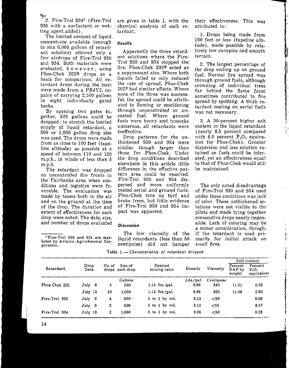9-2. Fire-Trol 934' (Fire-Trol 930 with a surfactant or wetting agent added).

The limited amount of liquid concentrate available (enough to mix 6,000 gallons of retardant solution) allowed only a few airdrops of Fire-Trol 930 and 934. Both materials were evaluated, howe v e r, using Phos-Chok 202® drops as a basis for comparison. All retardant drops during the tests were made from a PB4Y2, capable of carrying 2,500 gallons in eight individually gated tanks.

By opening two gates together, 625 gallons could be dropped; to stretch the limited supply of liquid retardant, a 500 or 1,000 gallon drop size was used. The drops were made from as close to 100 feet (tapeline altitude) as possible at a speed of between 110 and 120 m.p.h., in winds of less than 5 m.p.h.

The retardant was dropped on uncontrolled fire fronts in the Fairbanks area when conditions and logistics were favorable. The evaluation was made by teams both in the air and on the ground at the time of the drop. The duration and extent of effectiveness for each drop were noted. The date, size, and number of drops evaluated

**<sup>3</sup> Fire-Trol 930 and 934 are marketed by Arizona Agrochemical Corporation.**

are given in table 1, with the chemical analysis of each retardant.

#### *Results*

Apparently the three retardant solutions where the Fire-Trol 930 and 934 stopped the fire, Phos-Chek 202® acted as a suppressant also. Where both liquids failed or only reduced the rate of spread, Phos-Chek 202@ had similar effects. Where none of the three was successful, the spread could be attributed to flaming or smoldering through unpenetrated or uncoated fuel. Where ground fuels were heavy and tussocks numerous, all retardants were ineffective.

Drop patterns for the unthickened 930 and 934 were similar though larger than those for Phos-Chek. Under the drop conditions described elsewhere in this article little difference in the effective pattern area could be resolved. Fire-Trol 930 and 934 dispersed and more uniformly coated aerial and ground fuels. Phos-Chek tore up turf and broke trees, but little evidence of Fire-Trol 930 and 934 impact was apparent.

#### *Discussion*

The low viscosity of the liquid retardants (less than 50 centipoise) did not hamper

**Table 1. -** *Cbarocterietice of retardant d1'opped*

their effectiveness. This was attributed to:

1. Drops being made from 100 feet or 'less (tapeline altitude), made possible by relatively low canopies and smooth **terrain.**

2. The largest percentage of the drop ending up on ground fuel. Normal fire spread was through ground fuels, although crowning of individual trees far behind the flame front sometimes contributed to fire spread by spotting. A thick retardant coating on aerial fuels was not necessary.

3. A 30-percent higher salt content in the liquid retardant (nearly 8.5 percent compared with 6.0 percent  $P_2O_5$  equivalent for Phos-Chek). Greater dispersion and less solution retained on fuels could be tolerated, yet an effectiveness equal to that of Phos-Chek would still be maintained.

r. ,

**•**

• l

 $\frac{1}{2}$ 

Whether the

The only noted disadvantage of Fire-Trol 930 and 934 used under these conditions was lack of color. These unthickened solutions were not visible to the pilots and made tying together consecutive drops nearly impossible. Lack of coloring may be a minor consideration, though, if the retardant is used primarily for *initial* attack on *small* fires.

| Retardant     |              |                                      |                |                         |          |            | Salt content                |                                   |  |
|---------------|--------------|--------------------------------------|----------------|-------------------------|----------|------------|-----------------------------|-----------------------------------|--|
|               | Drop<br>Date | Size of<br>No. of<br>drops each drop |                | Desired<br>mixing ratio | Density  | Viscosity  | Percent<br>DAP by<br>weight | Percent<br>$P_2O_3$<br>equivalent |  |
|               |              |                                      | <b>Gallons</b> |                         | Lbs.yal. | Centipoise |                             |                                   |  |
| Phos-Chek 202 | July 6       | 4                                    | 500            | $1.14$ lbs./gal.        | 8.90     | 940        | 11.21                       | 6.02                              |  |
|               | July 10      | 10                                   | 1.000          | $1.14$ lbs./gal.        | 8.89     | 920        | 11.08                       | 5.96                              |  |
| Fire-Trol 930 | July 6       | 4                                    | 500            | $5$ to $1$ by vol.      | 913      | $50$       |                             | 8.69                              |  |
|               | July 9       | 2                                    | 500            | $5$ to $1$ by vol.      | 9.12     | $50$       |                             | 8.57                              |  |
| Fire-Trol 934 | July 10      | 2                                    | 1.000          | $5$ to $1$ by vol.      | 9.06     | $<$ 50     |                             | 8.28                              |  |
|               |              |                                      |                |                         |          |            |                             |                                   |  |

14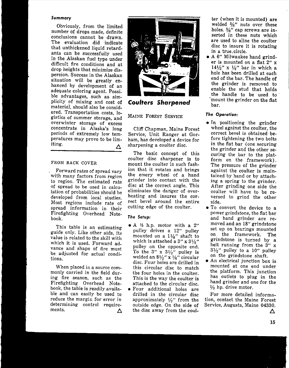#### Summary

Obviously, from the limited number of drops made, definite conclusions cannot be drawn. The evaluation did indicate that unthickened liquid retardants can be successfully used in the Alaskan fuel type under difficult fire conditions and at drop heights that minimize dispersion. Success in the Alaskan situation will be greatly enhanced by development of an adequate coloring agent. Possible advantages, such as simplicity of mixing and cost of material, should also be considered. Transportation costs 10- . . ' gistics **of summer storage, and** overwinter storage of excess concentrate in Alaska's long periods of extremely low temperatures may prove to be limiting. Δ

#### FROM BACK COVER

Forward rates of spread vary with many factors from region to region. The estimated rate of spread to be used in calculation of probabilities should be developed from local studies. Most regions include rate of spread information in their Firefighting Overhead Notebook.

This table is an estimating guide only. Like other aids, its value is related to the skill with which it is used. Forward advance and shape of fire must be adjusted for actual conditions.

When placed in a source commonly carried in the field during fire season, such as the Firefighting Overhead Notebook, the table is readily available and can easily be used to reduce the margin for error in determining control requirements.  $\Delta$ 



*Coulters Sharpened*

MAINE FOREST SERVICE

Cliff Chapman, Maine Forest Service, Unit Ranger at Gorham, has developed a device for sharpening a coulter disc.

The basic concept of this coulter disc sharpener is to mount the coulter in such fashion that it rotates and brings the emery wheel of a hand grinder into contact with the disc at the correct angle. This eliminates the danger of overheating and insures the correct bevel around the entire cutting edge of the coulter.

#### *The Setup:*

- $\bullet$  A  $\frac{1}{2}$  h.p. motor with a 2" pulley drives a 12" pulley mounted on a  $1\frac{1}{4}$ " shaft to which is attached a 3" x  $3\frac{1}{2}$ " pulley on the opposite end. To the 3"  $x$  3 $\frac{1}{2}$ " pulley is welded an  $8\frac{1}{2}$ " x  $\frac{1}{8}$ " circular disc. Four holes are drilled in this circular disc to match the four holes in the coulter. This is the way the coulter is attached to the circular disc.
- Four additional holes are drilled in the circular disc approximately *V2"* from the outside edge. On the side of the disc away from the coul-

ter (when it is mounted) are welded %" nuts over these holes.  $\frac{3}{8}$ " cap screws are inserted in these nuts which are used to aline the coulter disc to insure it is rotating in a true, circle.

• A 6" Milwaukee hand grinder is mounted on a flat 2" x  $14\frac{1}{2}$ " x  $\frac{1}{2}$ " bar in which a hole has been drilled at each end of the bar. The handle of the grinder is removed to enable the stud that holds the handle to be used to mount the grinder on the flat bar.

#### *The Operation:*

- In positioning the grinder wheel against the coulter, the correct bevel is obtained before tightening the two bolts in the flat bar (one securing the grinder and the other securing the bar to the platform on the framework). The pressure of the grinder against the coulter is maintained by hand or by attaching a spring to the grinder. After grinding one side the coulter will have to be reversed to grind the other side.
- To convert the device to a power grindstone, the flat bar and hand grinder are removed and an 18" grindstone set up on bearings mounted on the framework. The grindstone is turned by a belt running from the  $3''$  x  $3\frac{1}{2}$ " pulley to a 10" pulley on the grindstone shaft.
- An electrical junction box is mounted at one end under the platform. This junction has outlets to plug in the hand grinder and one for the  $1/1$  hp. drive motor.

For more detailed information, contact the Maine Forest Service, Augusta, Maine 04330.

 $\Lambda$